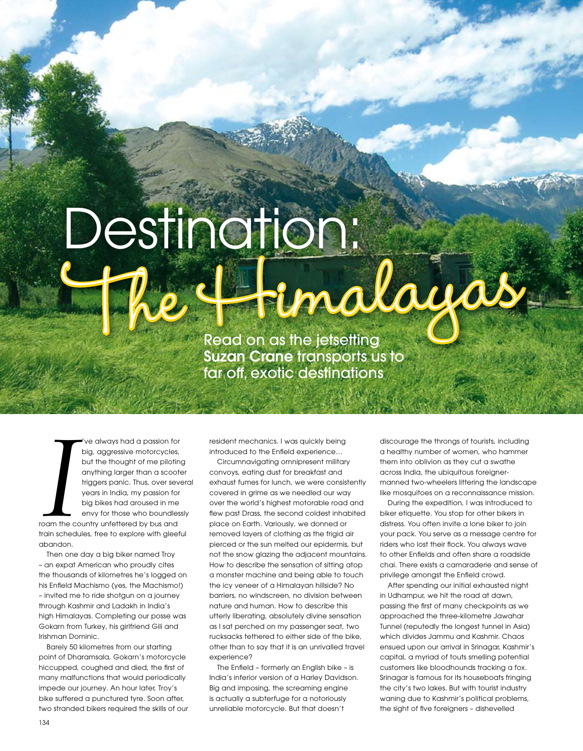## Destination:<br>The Fimalayas

Read on as the jetsetting Suzan Crane transports us to far off, exotic destinations

*I* 've always had a passion for big, aggressive motorcycles, but the thought of me piloting anything larger than a scooter triggers panic. Thus, over several years in India, my passion for big bikes had aroused in me envy for those who boundlessly roam the country unfettered by bus and train schedules, free to explore with gleeful abandon.

Then one day a big biker named Troy – an expat American who proudly cites the thousands of kilometres he's logged on his Enfield Machismo (yes, the Machismo!) – invited me to ride shotgun on a journey through Kashmir and Ladakh in India's high Himalayas. Completing our posse was Gokarn from Turkey, his girlfriend Gili and Irishman Dominic.

Barely 50 kilometres from our starting point of Dharamsala, Gokarn's motorcycle hiccupped, coughed and died, the first of many malfunctions that would periodically impede our journey. An hour later, Troy's bike suffered a punctured tyre. Soon after, two stranded bikers required the skills of our resident mechanics. I was quickly being introduced to the Enfield experience…

Circumnavigating omnipresent military convoys, eating dust for breakfast and exhaust fumes for lunch, we were consistently covered in grime as we needled our way over the world's highest motorable road and flew past Drass, the second coldest inhabited place on Earth. Variously, we donned or removed layers of clothing as the frigid air pierced or the sun melted our epidermis, but not the snow glazing the adjacent mountains. How to describe the sensation of sitting atop a monster machine and being able to touch the icy veneer of a Himalayan hillside? No barriers, no windscreen, no division between nature and human. How to describe this utterly liberating, absolutely divine sensation as I sat perched on my passenger seat, two rucksacks tethered to either side of the bike, other than to say that it is an unrivalled travel experience?

The Enfield – formerly an English bike – is India's inferior version of a Harley Davidson. Big and imposing, the screaming engine is actually a subterfuge for a notoriously unreliable motorcycle. But that doesn't

discourage the throngs of tourists, including a healthy number of women, who hammer them into oblivion as they cut a swathe across India, the ubiquitous foreignermanned two-wheelers littering the landscape like mosquitoes on a reconnaissance mission.

During the expedition, I was introduced to biker etiquette. You stop for other bikers in distress. You often invite a lone biker to join your pack. You serve as a message centre for riders who lost their flock. You always wave to other Enfields and often share a roadside chai. There exists a camaraderie and sense of privilege amongst the Enfield crowd.

After spending our initial exhausted night in Udhampur, we hit the road at dawn, passing the first of many checkpoints as we approached the three-kilometre Jawahar Tunnel (reputedly the longest tunnel in Asia) which divides Jammu and Kashmir. Chaos ensued upon our arrival in Srinagar, Kashmir's capital, a myriad of touts smelling potential customers like bloodhounds tracking a fox. Srinagar is famous for its houseboats fringing the city's two lakes. But with tourist industry waning due to Kashmir's political problems, the sight of five foreigners – dishevelled